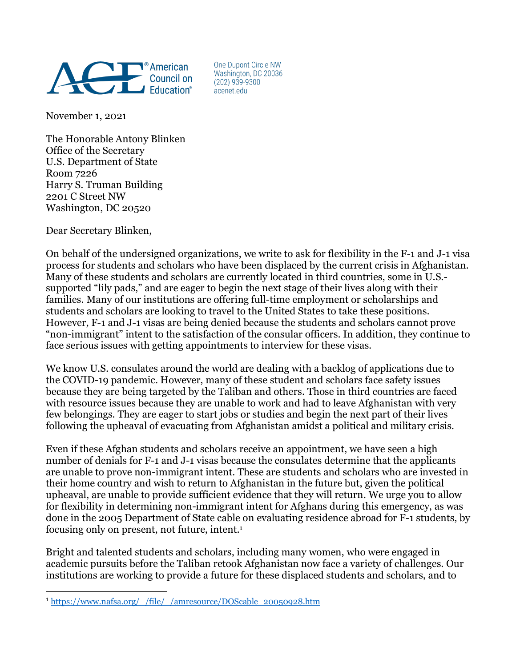

One Dupont Circle NW Washington, DC 20036  $(202)$  939-9300 acenet.edu

November 1, 2021

The Honorable Antony Blinken Office of the Secretary U.S. Department of State Room 7226 Harry S. Truman Building 2201 C Street NW Washington, DC 20520

Dear Secretary Blinken,

On behalf of the undersigned organizations, we write to ask for flexibility in the F-1 and J-1 visa process for students and scholars who have been displaced by the current crisis in Afghanistan. Many of these students and scholars are currently located in third countries, some in U.S. supported "lily pads," and are eager to begin the next stage of their lives along with their families. Many of our institutions are offering full-time employment or scholarships and students and scholars are looking to travel to the United States to take these positions. However, F-1 and J-1 visas are being denied because the students and scholars cannot prove "non-immigrant" intent to the satisfaction of the consular officers. In addition, they continue to face serious issues with getting appointments to interview for these visas.

We know U.S. consulates around the world are dealing with a backlog of applications due to the COVID-19 pandemic. However, many of these student and scholars face safety issues because they are being targeted by the Taliban and others. Those in third countries are faced with resource issues because they are unable to work and had to leave Afghanistan with very few belongings. They are eager to start jobs or studies and begin the next part of their lives following the upheaval of evacuating from Afghanistan amidst a political and military crisis.

Even if these Afghan students and scholars receive an appointment, we have seen a high number of denials for F-1 and J-1 visas because the consulates determine that the applicants are unable to prove non-immigrant intent. These are students and scholars who are invested in their home country and wish to return to Afghanistan in the future but, given the political upheaval, are unable to provide sufficient evidence that they will return. We urge you to allow for flexibility in determining non-immigrant intent for Afghans during this emergency, as was done in the 2005 Department of State cable on evaluating residence abroad for F-1 students, by focusing only on present, not future, intent.1

Bright and talented students and scholars, including many women, who were engaged in academic pursuits before the Taliban retook Afghanistan now face a variety of challenges. Our institutions are working to provide a future for these displaced students and scholars, and to

 $\overline{a}$ <sup>1</sup> https://www.nafsa.org/\_/file/\_/amresource/DOScable\_20050928.htm